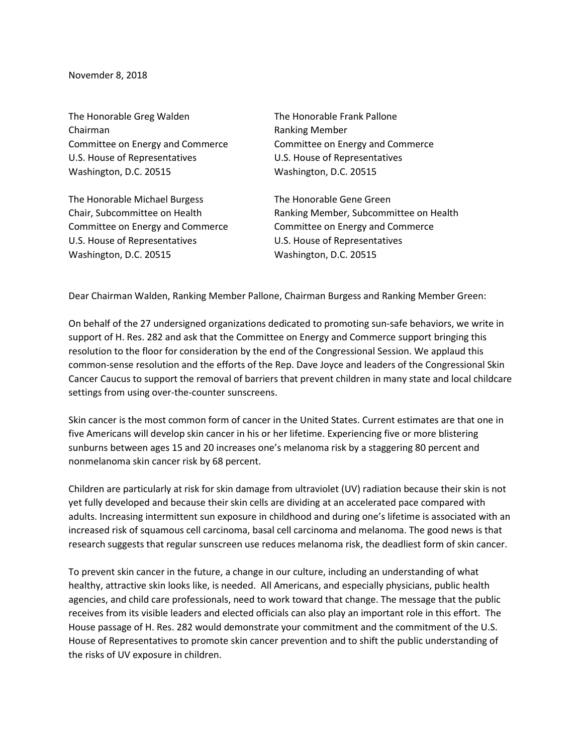Novemder 8, 2018

The Honorable Greg Walden The Honorable Frank Pallone Chairman **Ranking Member** Committee on Energy and Commerce Committee on Energy and Commerce U.S. House of Representatives U.S. House of Representatives Washington, D.C. 20515 Washington, D.C. 20515

The Honorable Michael Burgess The Honorable Gene Green Committee on Energy and Commerce Committee on Energy and Commerce U.S. House of Representatives U.S. House of Representatives Washington, D.C. 20515 Washington, D.C. 20515

Chair, Subcommittee on Health Ranking Member, Subcommittee on Health

Dear Chairman Walden, Ranking Member Pallone, Chairman Burgess and Ranking Member Green:

On behalf of the 27 undersigned organizations dedicated to promoting sun-safe behaviors, we write in support of H. Res. 282 and ask that the Committee on Energy and Commerce support bringing this resolution to the floor for consideration by the end of the Congressional Session. We applaud this common-sense resolution and the efforts of the Rep. Dave Joyce and leaders of the Congressional Skin Cancer Caucus to support the removal of barriers that prevent children in many state and local childcare settings from using over-the-counter sunscreens.

Skin cancer is the most common form of cancer in the United States. Current estimates are that one in five Americans will develop skin cancer in his or her lifetime. Experiencing five or more blistering sunburns between ages 15 and 20 increases one's melanoma risk by a staggering 80 percent and nonmelanoma skin cancer risk by 68 percent.

Children are particularly at risk for skin damage from ultraviolet (UV) radiation because their skin is not yet fully developed and because their skin cells are dividing at an accelerated pace compared with adults. Increasing intermittent sun exposure in childhood and during one's lifetime is associated with an increased risk of squamous cell carcinoma, basal cell carcinoma and melanoma. The good news is that research suggests that regular sunscreen use reduces melanoma risk, the deadliest form of skin cancer.

To prevent skin cancer in the future, a change in our culture, including an understanding of what healthy, attractive skin looks like, is needed. All Americans, and especially physicians, public health agencies, and child care professionals, need to work toward that change. The message that the public receives from its visible leaders and elected officials can also play an important role in this effort. The House passage of H. Res. 282 would demonstrate your commitment and the commitment of the U.S. House of Representatives to promote skin cancer prevention and to shift the public understanding of the risks of UV exposure in children.